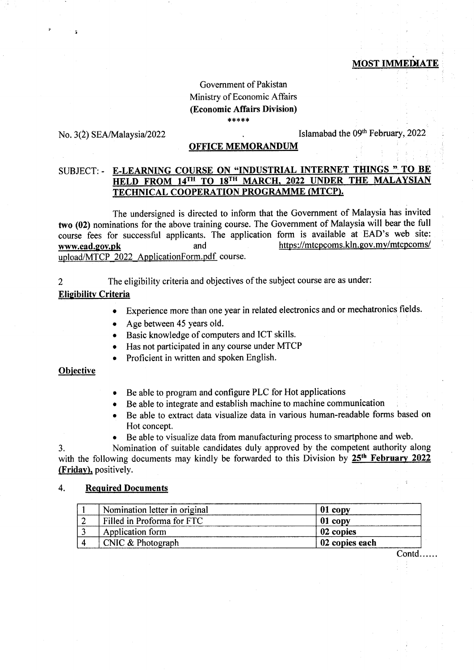## MOST IMMEDIATE

## Government of Pakistan Ministry of Economic Affairs (Economic Affairs Division) \*\*\*\*\*

?

No. 3(2) SEA/Malaysia/2022 lslamabad the 09<sup>th</sup> February, 2022

## OFTICE MEMORANDUM

# SUBJECT: - E-LEARNING COURSE ON "INDUSTRIAL INTERNET THINGS " TO BE HELD FROM 14<sup>TH</sup> TO 18<sup>TH</sup> MARCH, 2022 UNDER THE MALAYSIAN TECHNICAL COOPERATION PROGRAMME (MTCP).

The undersigned is directed to inform that the Government of Malaysia has invited two (02) nominations for the above training course. The Government of Malaysia will bear the full course fees for successful applicants. The application form is available at EAD's web site: www.ead.gov.pk and https://mtcpcoms.kln.gov.my/mtcpcoms/ upload/MTCP-2022-ApplicationForm. pdf course.

## 2 The eligibility criteria and objectives of the subject course are as under:

### **Eligibility Criteria**

- o Experience more than one year in related electronics and or mechatronics fields
- . Age between 45 years old.
- Basic knowledge of computers and ICT skills.
- Has not participated in any course under MTCP
- Proficient in written and spoken English.

### Obiective

- Be able to program and configure PLC for Hot applications
- Be able to integrate and establish machine to machine communication
- Be able to extract data visualize data in various human-readable forms based on Hot concept.
- Be able to visualize data from manufacturing process to smartphone and web.

3. Nomination of suitable candidates duly approved by the competent authority along with the following documents may kindly be forwarded to this Division by  $25<sup>th</sup>$  February 2022 (Fridav). positively.

## 4. Required Documents

| Nomination letter in original | 01 copy        |
|-------------------------------|----------------|
| Filled in Proforma for FTC    | 01 copy        |
| Application form              | 02 copies      |
| CNIC & Photograph             | 02 copies each |

Contd......